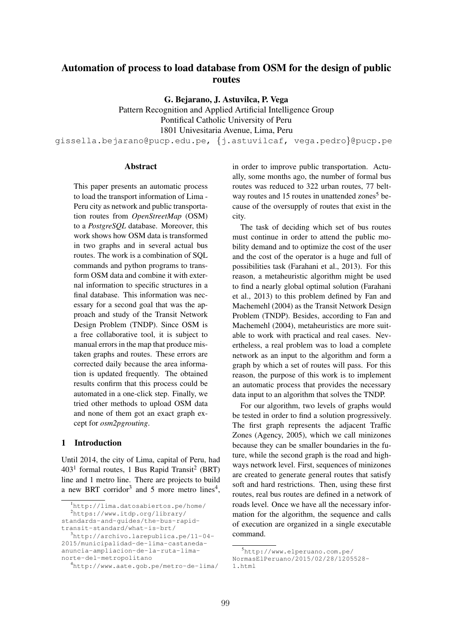# Automation of process to load database from OSM for the design of public routes

G. Bejarano, J. Astuvilca, P. Vega

Pattern Recognition and Applied Artificial Intelligence Group Pontifical Catholic University of Peru 1801 Univesitaria Avenue, Lima, Peru

gissella.bejarano@pucp.edu.pe, *{*j.astuvilcaf, vega.pedro*}*@pucp.pe

#### Abstract

This paper presents an automatic process to load the transport information of Lima - Peru city as network and public transportation routes from *OpenStreetMap* (OSM) to a *PostgreSQL* database. Moreover, this work shows how OSM data is transformed in two graphs and in several actual bus routes. The work is a combination of SQL commands and python programs to transform OSM data and combine it with external information to specific structures in a final database. This information was necessary for a second goal that was the approach and study of the Transit Network Design Problem (TNDP). Since OSM is a free collaborative tool, it is subject to manual errors in the map that produce mistaken graphs and routes. These errors are corrected daily because the area information is updated frequently. The obtained results confirm that this process could be automated in a one-click step. Finally, we tried other methods to upload OSM data and none of them got an exact graph except for *osm2pgrouting*.

# 1 Introduction

Until 2014, the city of Lima, capital of Peru, had  $403<sup>1</sup>$  formal routes, 1 Bus Rapid Transit<sup>2</sup> (BRT) line and 1 metro line. There are projects to build a new BRT corridor<sup>3</sup> and 5 more metro lines<sup>4</sup>,

anuncia-ampliacion-de-la-ruta-limanorte-del-metropolitano

in order to improve public transportation. Actually, some months ago, the number of formal bus routes was reduced to 322 urban routes, 77 beltway routes and 15 routes in unattended zones<sup>5</sup> because of the oversupply of routes that exist in the city.

The task of deciding which set of bus routes must continue in order to attend the public mobility demand and to optimize the cost of the user and the cost of the operator is a huge and full of possibilities task (Farahani et al., 2013). For this reason, a metaheuristic algorithm might be used to find a nearly global optimal solution (Farahani et al., 2013) to this problem defined by Fan and Machemehl (2004) as the Transit Network Design Problem (TNDP). Besides, according to Fan and Machemehl (2004), metaheuristics are more suitable to work with practical and real cases. Nevertheless, a real problem was to load a complete network as an input to the algorithm and form a graph by which a set of routes will pass. For this reason, the purpose of this work is to implement an automatic process that provides the necessary data input to an algorithm that solves the TNDP.

For our algorithm, two levels of graphs would be tested in order to find a solution progressively. The first graph represents the adjacent Traffic Zones (Agency, 2005), which we call minizones because they can be smaller boundaries in the future, while the second graph is the road and highways network level. First, sequences of minizones are created to generate general routes that satisfy soft and hard restrictions. Then, using these first routes, real bus routes are defined in a network of roads level. Once we have all the necessary information for the algorithm, the sequence and calls of execution are organized in a single executable command.

<sup>1</sup> http://lima.datosabiertos.pe/home/ 2 https://www.itdp.org/library/

standards-and-guides/the-bus-rapidtransit-standard/what-is-brt/

<sup>3</sup> http://archivo.larepublica.pe/11-04- 2015/municipalidad-de-lima-castaneda-

<sup>4</sup> http://www.aate.gob.pe/metro-de-lima/

<sup>5</sup> http://www.elperuano.com.pe/

NormasElPeruano/2015/02/28/1205528- 1.html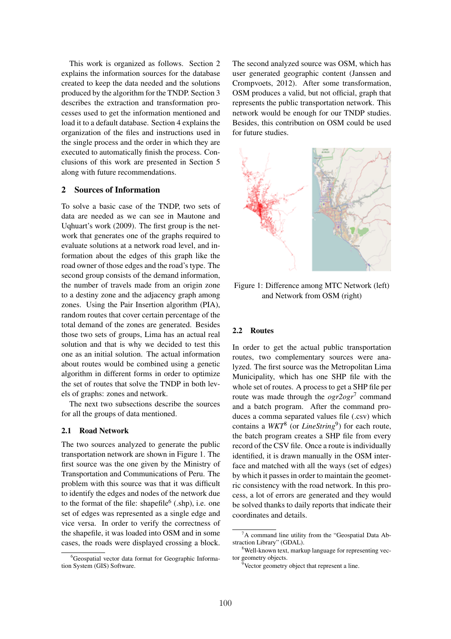This work is organized as follows. Section 2 explains the information sources for the database created to keep the data needed and the solutions produced by the algorithm for the TNDP. Section 3 describes the extraction and transformation processes used to get the information mentioned and load it to a default database. Section 4 explains the organization of the files and instructions used in the single process and the order in which they are executed to automatically finish the process. Conclusions of this work are presented in Section 5 along with future recommendations.

# 2 Sources of Information

To solve a basic case of the TNDP, two sets of data are needed as we can see in Mautone and Uqhuart's work (2009). The first group is the network that generates one of the graphs required to evaluate solutions at a network road level, and information about the edges of this graph like the road owner of those edges and the road's type. The second group consists of the demand information, the number of travels made from an origin zone to a destiny zone and the adjacency graph among zones. Using the Pair Insertion algorithm (PIA), random routes that cover certain percentage of the total demand of the zones are generated. Besides those two sets of groups, Lima has an actual real solution and that is why we decided to test this one as an initial solution. The actual information about routes would be combined using a genetic algorithm in different forms in order to optimize the set of routes that solve the TNDP in both levels of graphs: zones and network.

The next two subsections describe the sources for all the groups of data mentioned.

# 2.1 Road Network

The two sources analyzed to generate the public transportation network are shown in Figure 1. The first source was the one given by the Ministry of Transportation and Communications of Peru. The problem with this source was that it was difficult to identify the edges and nodes of the network due to the format of the file: shapefile  $(.\text{shp})$ , i.e. one set of edges was represented as a single edge and vice versa. In order to verify the correctness of the shapefile, it was loaded into OSM and in some cases, the roads were displayed crossing a block.

6 Geospatial vector data format for Geographic Information System (GIS) Software.

The second analyzed source was OSM, which has user generated geographic content (Janssen and Crompvoets, 2012). After some transformation, OSM produces a valid, but not official, graph that represents the public transportation network. This network would be enough for our TNDP studies. Besides, this contribution on OSM could be used for future studies.



Figure 1: Difference among MTC Network (left) and Network from OSM (right)

# 2.2 Routes

In order to get the actual public transportation routes, two complementary sources were analyzed. The first source was the Metropolitan Lima Municipality, which has one SHP file with the whole set of routes. A process to get a SHP file per route was made through the *ogr2ogr*<sup>7</sup> command and a batch program. After the command produces a comma separated values file (.csv) which contains a *WKT*<sup>8</sup> (or *LineString*9) for each route, the batch program creates a SHP file from every record of the CSV file. Once a route is individually identified, it is drawn manually in the OSM interface and matched with all the ways (set of edges) by which it passes in order to maintain the geometric consistency with the road network. In this process, a lot of errors are generated and they would be solved thanks to daily reports that indicate their coordinates and details.

<sup>&</sup>lt;sup>7</sup>A command line utility from the "Geospatial Data Abstraction Library" (GDAL).

<sup>&</sup>lt;sup>8</sup>Well-known text, markup language for representing vector geometry objects.

<sup>&</sup>lt;sup>9</sup>Vector geometry object that represent a line.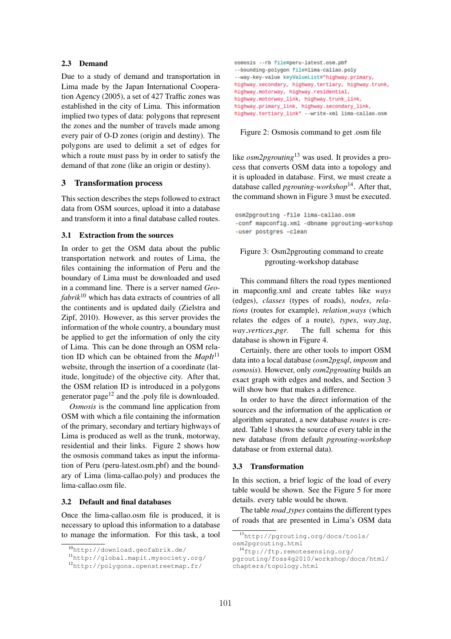# 2.3 Demand

Due to a study of demand and transportation in Lima made by the Japan International Cooperation Agency (2005), a set of 427 Traffic zones was established in the city of Lima. This information implied two types of data: polygons that represent the zones and the number of travels made among every pair of O-D zones (origin and destiny). The polygons are used to delimit a set of edges for which a route must pass by in order to satisfy the demand of that zone (like an origin or destiny).

#### 3 Transformation process

This section describes the steps followed to extract data from OSM sources, upload it into a database and transform it into a final database called routes.

# 3.1 Extraction from the sources

In order to get the OSM data about the public transportation network and routes of Lima, the files containing the information of Peru and the boundary of Lima must be downloaded and used in a command line. There is a server named *Geofabrik*<sup>10</sup> which has data extracts of countries of all the continents and is updated daily (Zielstra and Zipf, 2010). However, as this server provides the information of the whole country, a boundary must be applied to get the information of only the city of Lima. This can be done through an OSM relation ID which can be obtained from the *MapIt*<sup>11</sup> website, through the insertion of a coordinate (latitude, longitude) of the objective city. After that, the OSM relation ID is introduced in a polygons generator page12 and the .poly file is downloaded.

*Osmosis* is the command line application from OSM with which a file containing the information of the primary, secondary and tertiary highways of Lima is produced as well as the trunk, motorway, residential and their links. Figure 2 shows how the osmosis command takes as input the information of Peru (peru-latest.osm.pbf) and the boundary of Lima (lima-callao.poly) and produces the lima-callao.osm file.

#### 3.2 Default and final databases

Once the lima-callao.osm file is produced, it is necessary to upload this information to a database to manage the information. For this task, a tool osmosis -- rb file=peru-latest.osm.pbf --bounding-polygon file=lima-callao.poly --way-key-value keyValueList="highway.primary, highway.secondary, highway.tertiary, highway.trunk, highway.motorway, highway.residential, highway.motorway\_link, highway.trunk\_link, highway.primary\_link, highway.secondary\_link, highway.tertiary\_link" --write-xml lima-callao.osm

Figure 2: Osmosis command to get .osm file

like *osm2pgrouting*<sup>13</sup> was used. It provides a process that converts OSM data into a topology and it is uploaded in database. First, we must create a database called *pgrouting-workshop*14. After that, the command shown in Figure 3 must be executed.

osm2pgrouting -file lima-callao.osm -conf mapconfig.xml -dbname pgrouting-workshop -user postgres -clean

### Figure 3: Osm2pgrouting command to create pgrouting-workshop database

This command filters the road types mentioned in mapconfig.xml and create tables like *ways* (edges), *classes* (types of roads), *nodes*, *relations* (routes for example), *relation ways* (which relates the edges of a route), *types*, *way tag*, *way vertices pgr*. The full schema for this database is shown in Figure 4.

Certainly, there are other tools to import OSM data into a local database (*osm2pgsql*, *imposm* and *osmosis*). However, only *osm2pgrouting* builds an exact graph with edges and nodes, and Section 3 will show how that makes a difference.

In order to have the direct information of the sources and the information of the application or algorithm separated, a new database *routes* is created. Table 1 shows the source of every table in the new database (from default *pgrouting-workshop* database or from external data).

#### 3.3 Transformation

In this section, a brief logic of the load of every table would be shown. See the Figure 5 for more details. every table would be shown.

The table *road types* contains the different types of roads that are presented in Lima's OSM data

 $\frac{10}{10}$ http://download.geofabrik.de/

<sup>11</sup>http://global.mapit.mysociety.org/

<sup>12</sup>http://polygons.openstreetmap.fr/

<sup>13</sup>http://pgrouting.org/docs/tools/ osm2pgrouting.html

<sup>14</sup>ftp://ftp.remotesensing.org/

pgrouting/foss4g2010/workshop/docs/html/ chapters/topology.html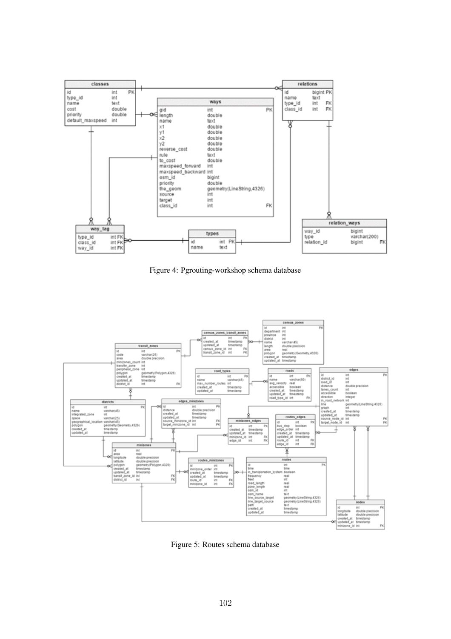

Figure 4: Pgrouting-workshop schema database



Figure 5: Routes schema database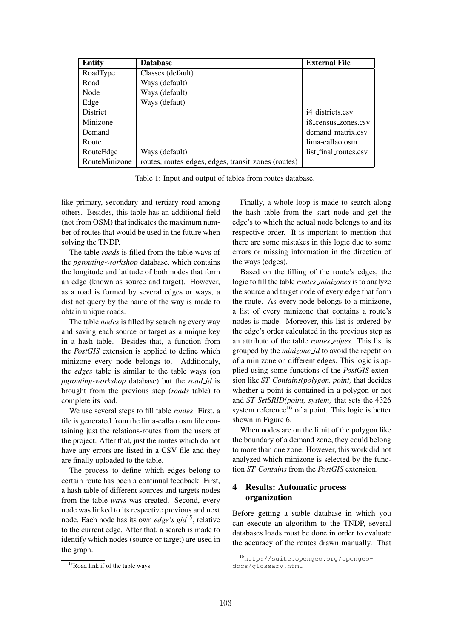| <b>Entity</b>   | <b>Database</b>                                     | <b>External File</b>  |
|-----------------|-----------------------------------------------------|-----------------------|
| RoadType        | Classes (default)                                   |                       |
| Road            | Ways (default)                                      |                       |
| Node            | Ways (default)                                      |                       |
| Edge            | Ways (defaut)                                       |                       |
| <b>District</b> |                                                     | i4 districts.csv      |
| Minizone        |                                                     | i8_census_zones.csv   |
| Demand          |                                                     | demand_matrix.csv     |
| Route           |                                                     | lima-callao.osm       |
| RouteEdge       | Ways (default)                                      | list_final_routes.csv |
| RouteMinizone   | routes, routes_edges, edges, transit_zones (routes) |                       |

Table 1: Input and output of tables from routes database.

like primary, secondary and tertiary road among others. Besides, this table has an additional field (not from OSM) that indicates the maximum number of routes that would be used in the future when solving the TNDP.

The table *roads* is filled from the table ways of the *pgrouting-workshop* database, which contains the longitude and latitude of both nodes that form an edge (known as source and target). However, as a road is formed by several edges or ways, a distinct query by the name of the way is made to obtain unique roads.

The table *nodes* is filled by searching every way and saving each source or target as a unique key in a hash table. Besides that, a function from the *PostGIS* extension is applied to define which minizone every node belongs to. Additionaly, the *edges* table is similar to the table ways (on *pgrouting-workshop* database) but the *road id* is brought from the previous step (*roads* table) to complete its load.

We use several steps to fill table *routes*. First, a file is generated from the lima-callao.osm file containing just the relations-routes from the users of the project. After that, just the routes which do not have any errors are listed in a CSV file and they are finally uploaded to the table.

The process to define which edges belong to certain route has been a continual feedback. First, a hash table of different sources and targets nodes from the table *ways* was created. Second, every node was linked to its respective previous and next node. Each node has its own *edge's gid*15, relative to the current edge. After that, a search is made to identify which nodes (source or target) are used in the graph.

Finally, a whole loop is made to search along the hash table from the start node and get the edge's to which the actual node belongs to and its respective order. It is important to mention that there are some mistakes in this logic due to some errors or missing information in the direction of the ways (edges).

Based on the filling of the route's edges, the logic to fill the table *routes minizones* is to analyze the source and target node of every edge that form the route. As every node belongs to a minizone, a list of every minizone that contains a route's nodes is made. Moreover, this list is ordered by the edge's order calculated in the previous step as an attribute of the table *routes edges*. This list is grouped by the *minizone id* to avoid the repetition of a minizone on different edges. This logic is applied using some functions of the *PostGIS* extension like *ST Contains(polygon, point)* that decides whether a point is contained in a polygon or not and *ST SetSRID(point, system)* that sets the 4326 system reference<sup>16</sup> of a point. This logic is better shown in Figure 6.

When nodes are on the limit of the polygon like the boundary of a demand zone, they could belong to more than one zone. However, this work did not analyzed which minizone is selected by the function *ST Contains* from the *PostGIS* extension.

# 4 Results: Automatic process organization

Before getting a stable database in which you can execute an algorithm to the TNDP, several databases loads must be done in order to evaluate the accuracy of the routes drawn manually. That

 $15$ Road link if of the table ways.

<sup>16</sup>http://suite.opengeo.org/opengeodocs/glossary.html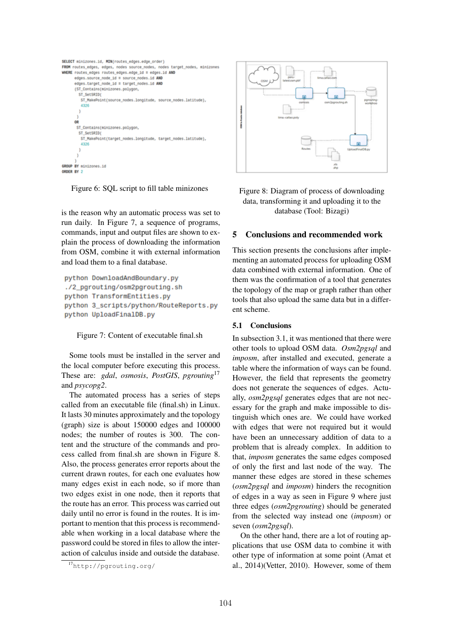

Figure 6: SQL script to fill table minizones

is the reason why an automatic process was set to run daily. In Figure 7, a sequence of programs, commands, input and output files are shown to explain the process of downloading the information from OSM, combine it with external information and load them to a final database.

```
python DownloadAndBoundary.py
./2_pgrouting/osm2pgrouting.sh
python TransformEntities.pv
python 3 scripts/python/RouteReports.py
python UploadFinalDB.py
```


Some tools must be installed in the server and the local computer before executing this process. These are: *gdal*, *osmosis*, *PostGIS*, *pgrouting*<sup>17</sup> and *psycopg2*.

The automated process has a series of steps called from an executable file (final.sh) in Linux. It lasts 30 minutes approximately and the topology (graph) size is about 150000 edges and 100000 nodes; the number of routes is 300. The content and the structure of the commands and process called from final.sh are shown in Figure 8. Also, the process generates error reports about the current drawn routes, for each one evaluates how many edges exist in each node, so if more than two edges exist in one node, then it reports that the route has an error. This process was carried out daily until no error is found in the routes. It is important to mention that this process is recommendable when working in a local database where the password could be stored in files to allow the interaction of calculus inside and outside the database.



Figure 8: Diagram of process of downloading data, transforming it and uploading it to the database (Tool: Bizagi)

# 5 Conclusions and recommended work

This section presents the conclusions after implementing an automated process for uploading OSM data combined with external information. One of them was the confirmation of a tool that generates the topology of the map or graph rather than other tools that also upload the same data but in a different scheme.

# 5.1 Conclusions

In subsection 3.1, it was mentioned that there were other tools to upload OSM data. *Osm2pgsql* and *imposm*, after installed and executed, generate a table where the information of ways can be found. However, the field that represents the geometry does not generate the sequences of edges. Actually, *osm2pgsql* generates edges that are not necessary for the graph and make impossible to distinguish which ones are. We could have worked with edges that were not required but it would have been an unnecessary addition of data to a problem that is already complex. In addition to that, *imposm* generates the same edges composed of only the first and last node of the way. The manner these edges are stored in these schemes (*osm2pgsql* and *imposm*) hinders the recognition of edges in a way as seen in Figure 9 where just three edges (*osm2pgrouting*) should be generated from the selected way instead one (*imposm*) or seven (*osm2pgsql*).

On the other hand, there are a lot of routing applications that use OSM data to combine it with other type of information at some point (Amat et al., 2014)(Vetter, 2010). However, some of them

<sup>17</sup>http://pgrouting.org/